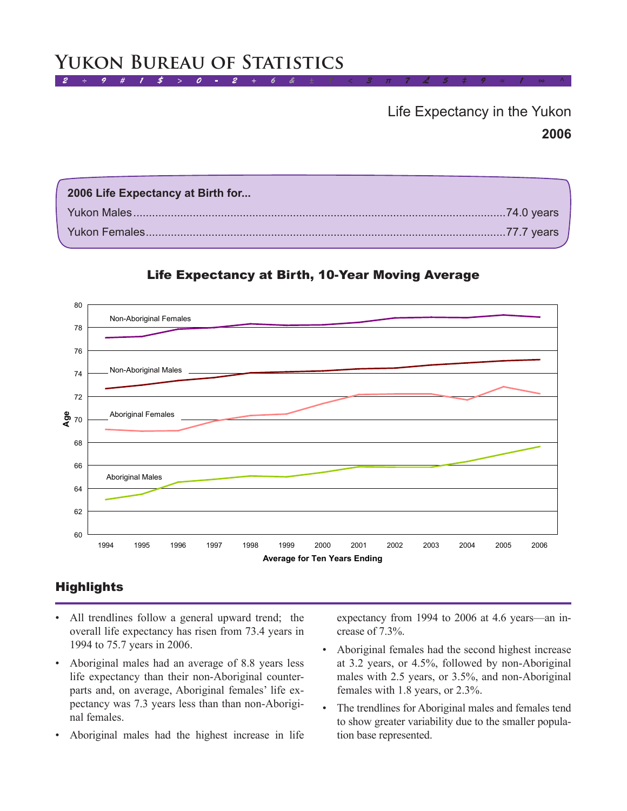## $2 \div 9 + 1 \div 5 = 0 - 2$ **Yukon Bureau of Statistics**

# **2006** Life Expectancy in the Yukon

| 2006 Life Expectancy at Birth for |  |
|-----------------------------------|--|
|                                   |  |
|                                   |  |



### Life Expectancy at Birth, 10-Year Moving Average

## **Highlights**

- All trendlines follow a general upward trend; the overall life expectancy has risen from 73.4 years in 1994 to 75.7 years in 2006.
- Aboriginal males had an average of 8.8 years less life expectancy than their non-Aboriginal counterparts and, on average, Aboriginal females' life expectancy was 7.3 years less than than non-Aboriginal females.
- Aboriginal males had the highest increase in life

expectancy from 1994 to 2006 at 4.6 years—an increase of 7.3%.

- Aboriginal females had the second highest increase at 3.2 years, or 4.5%, followed by non-Aboriginal males with 2.5 years, or 3.5%, and non-Aboriginal females with 1.8 years, or 2.3%.
- The trendlines for Aboriginal males and females tend to show greater variability due to the smaller population base represented.